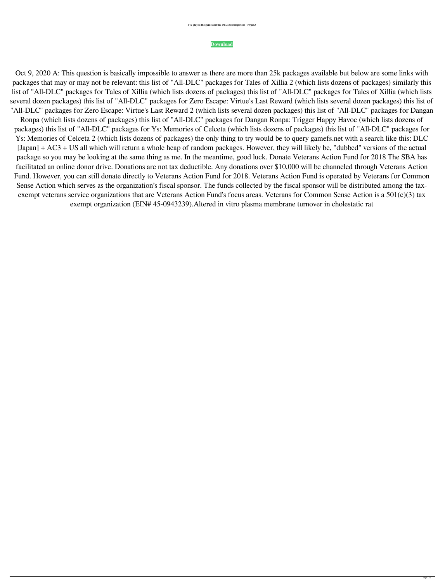## **I've played the game and the DLCs to completion - r/rpcs3**

## **[Download](https://shurll.com/2l1czu)**

Oct 9, 2020 A: This question is basically impossible to answer as there are more than 25k packages available but below are some links with packages that may or may not be relevant: this list of "All-DLC" packages for Tales of Xillia 2 (which lists dozens of packages) similarly this list of "All-DLC" packages for Tales of Xillia (which lists dozens of packages) this list of "All-DLC" packages for Tales of Xillia (which lists several dozen packages) this list of "All-DLC" packages for Zero Escape: Virtue's Last Reward (which lists several dozen packages) this list of "All-DLC" packages for Zero Escape: Virtue's Last Reward 2 (which lists several dozen packages) this list of "All-DLC" packages for Dangan Ronpa (which lists dozens of packages) this list of "All-DLC" packages for Dangan Ronpa: Trigger Happy Havoc (which lists dozens of packages) this list of "All-DLC" packages for Ys: Memories of Celceta (which lists dozens of packages) this list of "All-DLC" packages for Ys: Memories of Celceta 2 (which lists dozens of packages) the only thing to try would be to query gamefs.net with a search like this: DLC [Japan] + AC3 + US all which will return a whole heap of random packages. However, they will likely be, "dubbed" versions of the actual package so you may be looking at the same thing as me. In the meantime, good luck. Donate Veterans Action Fund for 2018 The SBA has facilitated an online donor drive. Donations are not tax deductible. Any donations over \$10,000 will be channeled through Veterans Action Fund. However, you can still donate directly to Veterans Action Fund for 2018. Veterans Action Fund is operated by Veterans for Common Sense Action which serves as the organization's fiscal sponsor. The funds collected by the fiscal sponsor will be distributed among the taxexempt veterans service organizations that are Veterans Action Fund's focus areas. Veterans for Common Sense Action is a 501(c)(3) tax exempt organization (EIN# 45-0943239).Altered in vitro plasma membrane turnover in cholestatic rat